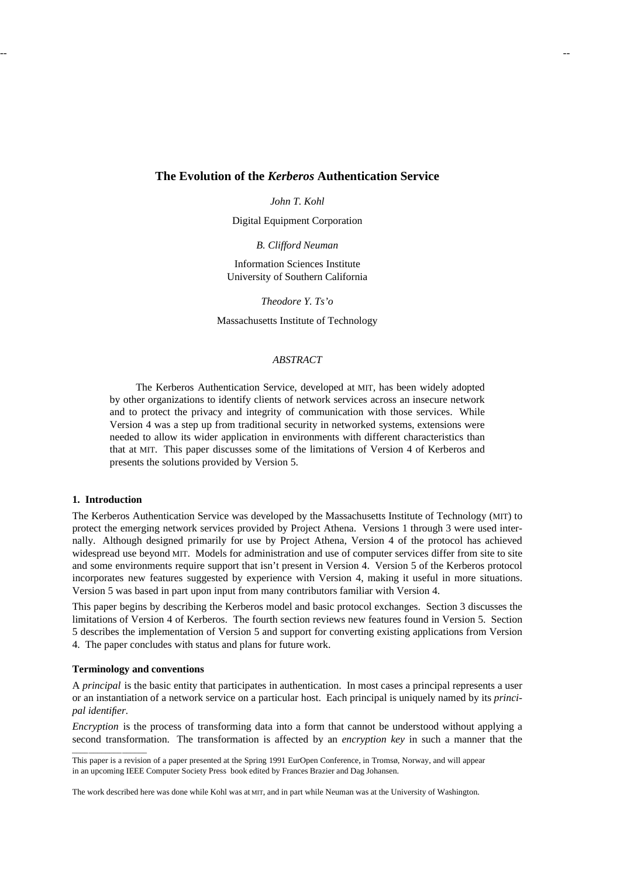# **The Evolution of the** *Kerberos* **Authentication Service**

*John T. Kohl*

Digital Equipment Corporation

*B. Clifford Neuman*

Information Sciences Institute University of Southern California

*Theodore Y. Ts'o*

Massachusetts Institute of Technology

# *ABSTRACT*

The Kerberos Authentication Service, developed at MIT, has been widely adopted by other organizations to identify clients of network services across an insecure network and to protect the privacy and integrity of communication with those services. While Version 4 was a step up from traditional security in networked systems, extensions were needed to allow its wider application in environments with different characteristics than that at MIT. This paper discusses some of the limitations of Version 4 of Kerberos and presents the solutions provided by Version 5.

### **1. Introduction**

The Kerberos Authentication Service was developed by the Massachusetts Institute of Technology (MIT) to protect the emerging network services provided by Project Athena. Versions 1 through 3 were used internally. Although designed primarily for use by Project Athena, Version 4 of the protocol has achieved widespread use beyond MIT. Models for administration and use of computer services differ from site to site and some environments require support that isn't present in Version 4. Version 5 of the Kerberos protocol incorporates new features suggested by experience with Version 4, making it useful in more situations. Version 5 was based in part upon input from many contributors familiar with Version 4.

This paper begins by describing the Kerberos model and basic protocol exchanges. Section 3 discusses the limitations of Version 4 of Kerberos. The fourth section reviews new features found in Version 5. Section 5 describes the implementation of Version 5 and support for converting existing applications from Version 4. The paper concludes with status and plans for future work.

### **Terminology and conventions**

hhhhhhhhhhhhhhhhhhhhhhhhhhhhhhhhhhh

A *principal* is the basic entity that participates in authentication. In most cases a principal represents a user or an instantiation of a network service on a particular host. Each principal is uniquely named by its *principal identifier.*

*Encryption* is the process of transforming data into a form that cannot be understood without applying a second transformation. The transformation is affected by an *encryption key* in such a manner that the

This paper is a revision of a paper presented at the Spring 1991 EurOpen Conference, in Tromsø, Norway, and will appear in an upcoming IEEE Computer Society Press book edited by Frances Brazier and Dag Johansen.

The work described here was done while Kohl was at MIT, and in part while Neuman was at the University of Washington.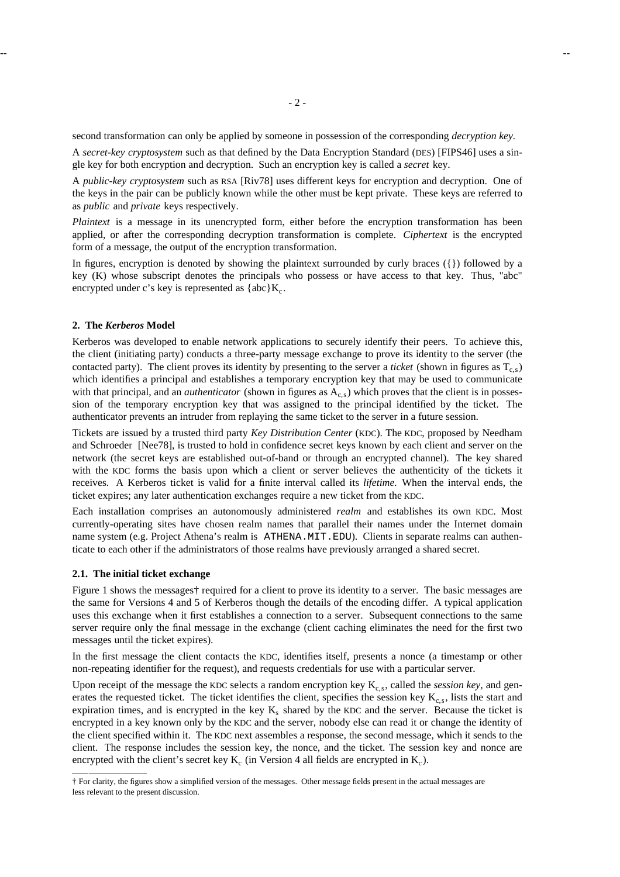second transformation can only be applied by someone in possession of the corresponding *decryption key.*

A *secret-key cryptosystem* such as that defined by the Data Encryption Standard (DES) [FIPS46] uses a single key for both encryption and decryption. Such an encryption key is called a *secret* key.

A *public-key cryptosystem* such as RSA [Riv78] uses different keys for encryption and decryption. One of the keys in the pair can be publicly known while the other must be kept private. These keys are referred to as *public* and *private* keys respectively.

*Plaintext* is a message in its unencrypted form, either before the encryption transformation has been applied, or after the corresponding decryption transformation is complete. *Ciphertext* is the encrypted form of a message, the output of the encryption transformation.

In figures, encryption is denoted by showing the plaintext surrounded by curly braces ({}) followed by a key (K) whose subscript denotes the principals who possess or have access to that key. Thus, "abc" encrypted under c's key is represented as  ${abc}K_c$ .

# **2. The** *Kerberos* **Model**

Kerberos was developed to enable network applications to securely identify their peers. To achieve this, the client (initiating party) conducts a three-party message exchange to prove its identity to the server (the contacted party). The client proves its identity by presenting to the server a *ticket* (shown in figures as  $T<sub>c</sub>$ ) which identifies a principal and establishes a temporary encryption key that may be used to communicate with that principal, and an *authenticator* (shown in figures as A<sub>c,s</sub>) which proves that the client is in possession of the temporary encryption key that was assigned to the principal identified by the ticket. The authenticator prevents an intruder from replaying the same ticket to the server in a future session.

Tickets are issued by a trusted third party *Key Distribution Center* (KDC). The KDC, proposed by Needham and Schroeder [Nee78], is trusted to hold in confidence secret keys known by each client and server on the network (the secret keys are established out-of-band or through an encrypted channel). The key shared with the KDC forms the basis upon which a client or server believes the authenticity of the tickets it receives. A Kerberos ticket is valid for a finite interval called its *lifetime.* When the interval ends, the ticket expires; any later authentication exchanges require a new ticket from the KDC.

Each installation comprises an autonomously administered *realm* and establishes its own KDC. Most currently-operating sites have chosen realm names that parallel their names under the Internet domain name system (e.g. Project Athena's realm is ATHENA.MIT.EDU). Clients in separate realms can authenticate to each other if the administrators of those realms have previously arranged a shared secret.

### **2.1. The initial ticket exchange**

hhhhhhhhhhhhhhhhhh

Figure 1 shows the messages† required for a client to prove its identity to a server. The basic messages are the same for Versions 4 and 5 of Kerberos though the details of the encoding differ. A typical application uses this exchange when it first establishes a connection to a server. Subsequent connections to the same server require only the final message in the exchange (client caching eliminates the need for the first two messages until the ticket expires).

In the first message the client contacts the KDC, identifies itself, presents a nonce (a timestamp or other non-repeating identifier for the request), and requests credentials for use with a particular server.

Upon receipt of the message the KDC selects a random encryption key  $K_{c,s}$ , called the *session key*, and generates the requested ticket. The ticket identifies the client, specifies the session key  $K_c$ , lists the start and expiration times, and is encrypted in the key  $K_s$  shared by the KDC and the server. Because the ticket is encrypted in a key known only by the KDC and the server, nobody else can read it or change the identity of the client specified within it. The KDC next assembles a response, the second message, which it sends to the client. The response includes the session key, the nonce, and the ticket. The session key and nonce are encrypted with the client's secret key  $K_c$  (in Version 4 all fields are encrypted in  $K_c$ ).

<sup>†</sup> For clarity, the figures show a simplified version of the messages. Other message fields present in the actual messages are less relevant to the present discussion.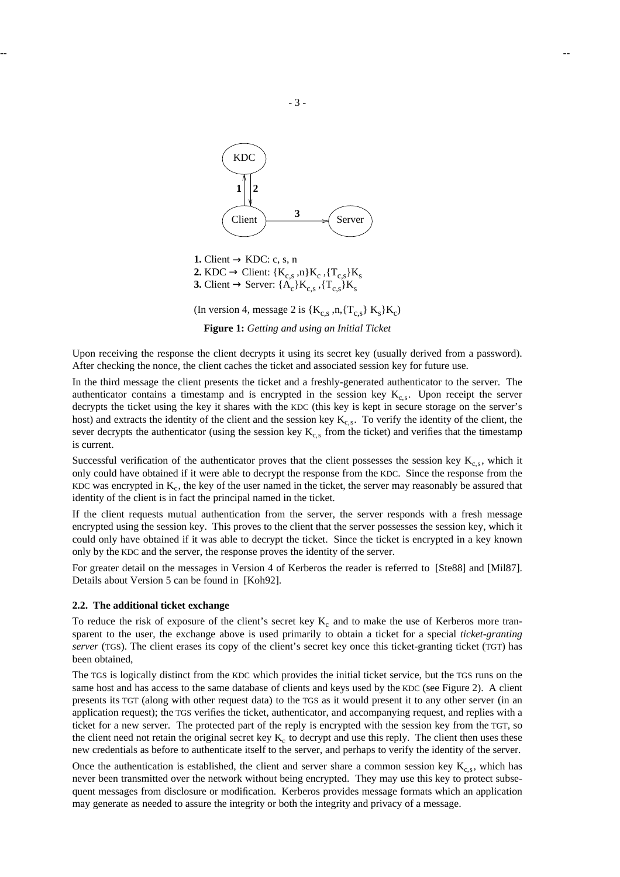

**1.** Client  $\rightarrow$  KDC: c, s, n **2.** KDC  $\rightarrow$  Client: { $K_{c,s}$ , n} $K_c$ , { $T_{c,s}$ } $K_s$ **3.** Client  $\rightarrow$  Server: { $A_c$ } $K_{c,s}$  , { $T_{c,s}$ } $K_s$ 

(In version 4, message 2 is  $\{K_{c,s}, n, \{T_{c,s}\}\,K_s\}K_c$ )

**Figure 1:** *Getting and using an Initial Ticket*

Upon receiving the response the client decrypts it using its secret key (usually derived from a password). After checking the nonce, the client caches the ticket and associated session key for future use.

In the third message the client presents the ticket and a freshly-generated authenticator to the server. The authenticator contains a timestamp and is encrypted in the session key  $K_{c,s}$ . Upon receipt the server decrypts the ticket using the key it shares with the KDC (this key is kept in secure storage on the server's host) and extracts the identity of the client and the session key  $K_{c,s}$ . To verify the identity of the client, the sever decrypts the authenticator (using the session key  $K<sub>c,s</sub>$  from the ticket) and verifies that the timestamp is current.

Successful verification of the authenticator proves that the client possesses the session key  $K_{c,s}$ , which it only could have obtained if it were able to decrypt the response from the KDC. Since the response from the KDC was encrypted in  $K_c$ , the key of the user named in the ticket, the server may reasonably be assured that identity of the client is in fact the principal named in the ticket.

If the client requests mutual authentication from the server, the server responds with a fresh message encrypted using the session key. This proves to the client that the server possesses the session key, which it could only have obtained if it was able to decrypt the ticket. Since the ticket is encrypted in a key known only by the KDC and the server, the response proves the identity of the server.

For greater detail on the messages in Version 4 of Kerberos the reader is referred to [Ste88] and [Mil87]. Details about Version 5 can be found in [Koh92].

### **2.2. The additional ticket exchange**

To reduce the risk of exposure of the client's secret key  $K_c$  and to make the use of Kerberos more transparent to the user, the exchange above is used primarily to obtain a ticket for a special *ticket-granting server* (TGS). The client erases its copy of the client's secret key once this ticket-granting ticket (TGT) has been obtained,

The TGS is logically distinct from the KDC which provides the initial ticket service, but the TGS runs on the same host and has access to the same database of clients and keys used by the KDC (see Figure 2). A client presents its TGT (along with other request data) to the TGS as it would present it to any other server (in an application request); the TGS verifies the ticket, authenticator, and accompanying request, and replies with a ticket for a new server. The protected part of the reply is encrypted with the session key from the TGT, so the client need not retain the original secret key  $K_c$  to decrypt and use this reply. The client then uses these new credentials as before to authenticate itself to the server, and perhaps to verify the identity of the server.

Once the authentication is established, the client and server share a common session key  $K_{c,s}$ , which has never been transmitted over the network without being encrypted. They may use this key to protect subsequent messages from disclosure or modification. Kerberos provides message formats which an application may generate as needed to assure the integrity or both the integrity and privacy of a message.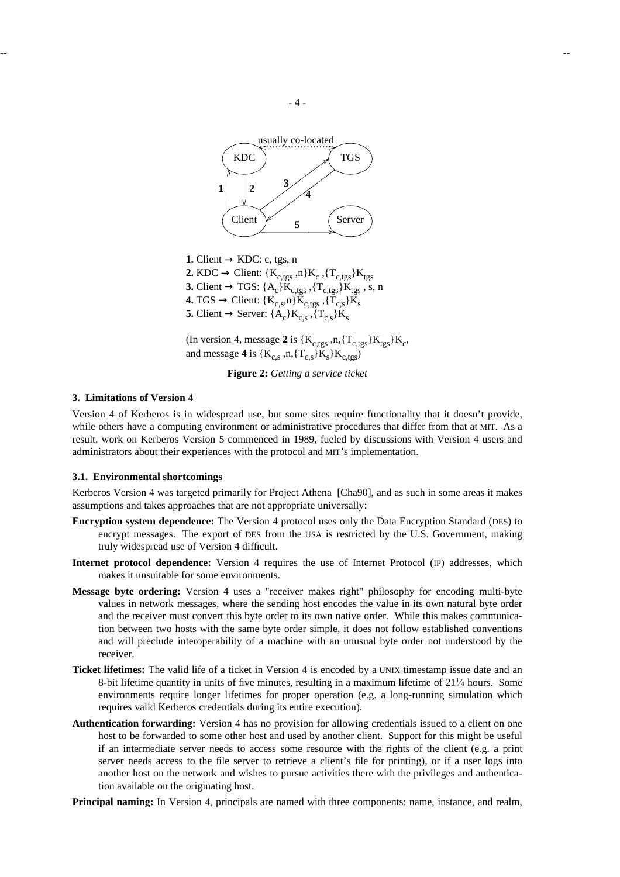

**1.** Client  $\rightarrow$  KDC: c, tgs, n **2.** KDC  $\rightarrow$  Client: { $K_{c,tgs}$ , n} $K_c$ , { $T_{c,tgs}$ } $K_{tgs}$ **3.** Client  $\rightarrow$  TGS: {A<sub>c</sub>}K<sub>c,tgs</sub>, {T<sub>c,tgs</sub>}K<sub>tgs</sub>, s, n **4.** TGS  $\rightarrow$  Client: { $K_{c,s}$ ,n} $K_{c,tgs}$ , { $T_{c,s}$ } $K_s$ **5.** Client  $\rightarrow$  Server: { $A_c$ } $K_{c,s}$ , { $T_{c,s}$ } $K_s$ 

(In version 4, message 2 is  $\{K_{c,tgs}, n, \{T_{c,tgs}\}K_{tgs}\}K_c$ , and message **4** is  $\{K_{c,s}, n, \{T_{c,s}\}K_s\}K_{c, \text{tgs}}\}$ 

**Figure 2:** *Getting a service ticket*

#### **3. Limitations of Version 4**

Version 4 of Kerberos is in widespread use, but some sites require functionality that it doesn't provide, while others have a computing environment or administrative procedures that differ from that at MIT. As a result, work on Kerberos Version 5 commenced in 1989, fueled by discussions with Version 4 users and administrators about their experiences with the protocol and MIT's implementation.

# **3.1. Environmental shortcomings**

Kerberos Version 4 was targeted primarily for Project Athena [Cha90], and as such in some areas it makes assumptions and takes approaches that are not appropriate universally:

- **Encryption system dependence:** The Version 4 protocol uses only the Data Encryption Standard (DES) to encrypt messages. The export of DES from the USA is restricted by the U.S. Government, making truly widespread use of Version 4 difficult.
- **Internet protocol dependence:** Version 4 requires the use of Internet Protocol (IP) addresses, which makes it unsuitable for some environments.
- **Message byte ordering:** Version 4 uses a "receiver makes right" philosophy for encoding multi-byte values in network messages, where the sending host encodes the value in its own natural byte order and the receiver must convert this byte order to its own native order. While this makes communication between two hosts with the same byte order simple, it does not follow established conventions and will preclude interoperability of a machine with an unusual byte order not understood by the receiver.
- **Ticket lifetimes:** The valid life of a ticket in Version 4 is encoded by a UNIX timestamp issue date and an 8-bit lifetime quantity in units of five minutes, resulting in a maximum lifetime of 21<sup>1</sup> ⁄<sup>4</sup> hours. Some environments require longer lifetimes for proper operation (e.g. a long-running simulation which requires valid Kerberos credentials during its entire execution).
- **Authentication forwarding:** Version 4 has no provision for allowing credentials issued to a client on one host to be forwarded to some other host and used by another client. Support for this might be useful if an intermediate server needs to access some resource with the rights of the client (e.g. a print server needs access to the file server to retrieve a client's file for printing), or if a user logs into another host on the network and wishes to pursue activities there with the privileges and authentication available on the originating host.

**Principal naming:** In Version 4, principals are named with three components: name, instance, and realm,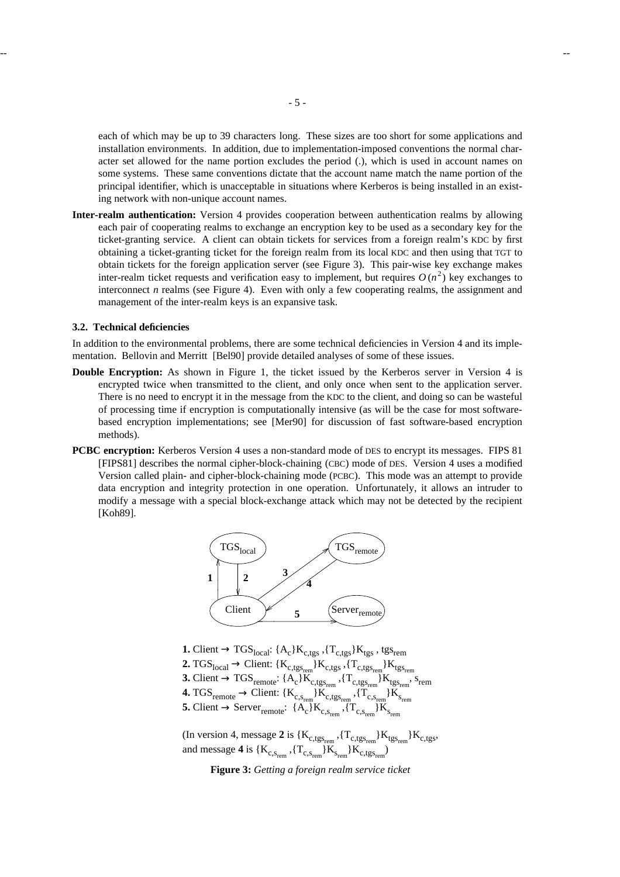each of which may be up to 39 characters long. These sizes are too short for some applications and installation environments. In addition, due to implementation-imposed conventions the normal character set allowed for the name portion excludes the period (.), which is used in account names on some systems. These same conventions dictate that the account name match the name portion of the principal identifier, which is unacceptable in situations where Kerberos is being installed in an existing network with non-unique account names.

**Inter-realm authentication:** Version 4 provides cooperation between authentication realms by allowing each pair of cooperating realms to exchange an encryption key to be used as a secondary key for the ticket-granting service. A client can obtain tickets for services from a foreign realm's KDC by first obtaining a ticket-granting ticket for the foreign realm from its local KDC and then using that TGT to obtain tickets for the foreign application server (see Figure 3). This pair-wise key exchange makes inter-realm ticket requests and verification easy to implement, but requires  $O(n^2)$  key exchanges to interconnect  $n$  realms (see Figure 4). Even with only a few cooperating realms, the assignment and management of the inter-realm keys is an expansive task.

#### **3.2. Technical deficiencies**

In addition to the environmental problems, there are some technical deficiencies in Version 4 and its implementation. Bellovin and Merritt [Bel90] provide detailed analyses of some of these issues.

- **Double Encryption:** As shown in Figure 1, the ticket issued by the Kerberos server in Version 4 is encrypted twice when transmitted to the client, and only once when sent to the application server. There is no need to encrypt it in the message from the KDC to the client, and doing so can be wasteful of processing time if encryption is computationally intensive (as will be the case for most softwarebased encryption implementations; see [Mer90] for discussion of fast software-based encryption methods).
- **PCBC encryption:** Kerberos Version 4 uses a non-standard mode of DES to encrypt its messages. FIPS 81 [FIPS81] describes the normal cipher-block-chaining (CBC) mode of DES. Version 4 uses a modified Version called plain- and cipher-block-chaining mode (PCBC). This mode was an attempt to provide data encryption and integrity protection in one operation. Unfortunately, it allows an intruder to modify a message with a special block-exchange attack which may not be detected by the recipient [Koh89].



- **1.** Client  $\rightarrow$  TGS<sub>local</sub>: {A<sub>c</sub>}K<sub>c,tgs</sub> ,{T<sub>c,tgs</sub>}K<sub>tgs</sub>, tgs<sub>rem</sub>
- **2.** TGS<sub>local</sub>  $\rightarrow$  Client: { $K_{c,tgs_{rem}}$ } $K_{c,tgs}$  ,{ $T_{c,tgs_{rem}}$ } $K_{tgs_{rem}}$
- **3.** Client  $\rightarrow$  TGS<sub>remote</sub>: { $A_c$ } $K_{c,tgs_{rem}}$ , { $T_{c,tgs_{rem}}$ } $K_{tgs_{rem}}$ , s<sub>rem</sub>
- **4.** TGS<sub>remote</sub> → Client: {K<sub>c,Srem</sub>}K<sub>c,tgs<sub>rem</sub>,{T<sub>c,Srem</sub>}K<sub>srem</sub><br>5. Client → Server<sub>remote</sub>: {A<sub>c</sub>}K<sub>c,Srem</sub>,{T<sub>c,Srem</sub>}K<sub>srem</sub></sub>
- 
- (In version 4, message 2 is  $\{K_{c,tgs_{rem}}, \{T_{c,tgs_{rem}}\}K_{tgs_{rem}}\}K_{c,tgs}$ and message **4** is  $\{K_{c,s_{\text{rem}}}, \{T_{c,s_{\text{rem}}}\}\}K_{s_{\text{rem}}}$ ,  $\{K_{c,\text{tgs}_{\text{rem}}}\}$

**Figure 3:** *Getting a foreign realm service ticket*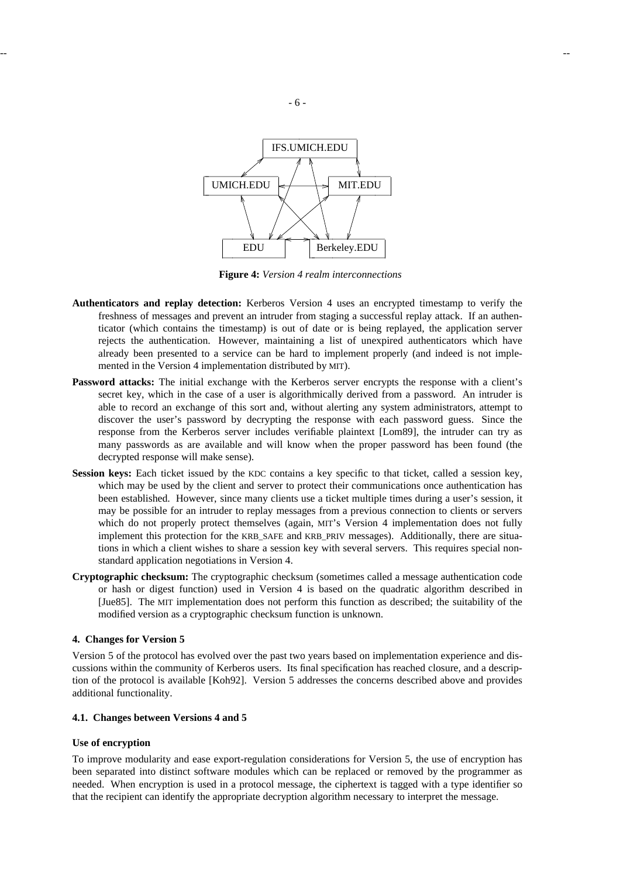

**Figure 4:** *Version 4 realm interconnections*

- **Authenticators and replay detection:** Kerberos Version 4 uses an encrypted timestamp to verify the freshness of messages and prevent an intruder from staging a successful replay attack. If an authenticator (which contains the timestamp) is out of date or is being replayed, the application server rejects the authentication. However, maintaining a list of unexpired authenticators which have already been presented to a service can be hard to implement properly (and indeed is not implemented in the Version 4 implementation distributed by MIT).
- **Password attacks:** The initial exchange with the Kerberos server encrypts the response with a client's secret key, which in the case of a user is algorithmically derived from a password. An intruder is able to record an exchange of this sort and, without alerting any system administrators, attempt to discover the user's password by decrypting the response with each password guess. Since the response from the Kerberos server includes verifiable plaintext [Lom89], the intruder can try as many passwords as are available and will know when the proper password has been found (the decrypted response will make sense).
- **Session keys:** Each ticket issued by the KDC contains a key specific to that ticket, called a session key, which may be used by the client and server to protect their communications once authentication has been established. However, since many clients use a ticket multiple times during a user's session, it may be possible for an intruder to replay messages from a previous connection to clients or servers which do not properly protect themselves (again, MIT's Version 4 implementation does not fully implement this protection for the KRB\_SAFE and KRB\_PRIV messages). Additionally, there are situations in which a client wishes to share a session key with several servers. This requires special nonstandard application negotiations in Version 4.
- **Cryptographic checksum:** The cryptographic checksum (sometimes called a message authentication code or hash or digest function) used in Version 4 is based on the quadratic algorithm described in [Jue85]. The MIT implementation does not perform this function as described; the suitability of the modified version as a cryptographic checksum function is unknown.

### **4. Changes for Version 5**

Version 5 of the protocol has evolved over the past two years based on implementation experience and discussions within the community of Kerberos users. Its final specification has reached closure, and a description of the protocol is available [Koh92]. Version 5 addresses the concerns described above and provides additional functionality.

### **4.1. Changes between Versions 4 and 5**

#### **Use of encryption**

To improve modularity and ease export-regulation considerations for Version 5, the use of encryption has been separated into distinct software modules which can be replaced or removed by the programmer as needed. When encryption is used in a protocol message, the ciphertext is tagged with a type identifier so that the recipient can identify the appropriate decryption algorithm necessary to interpret the message.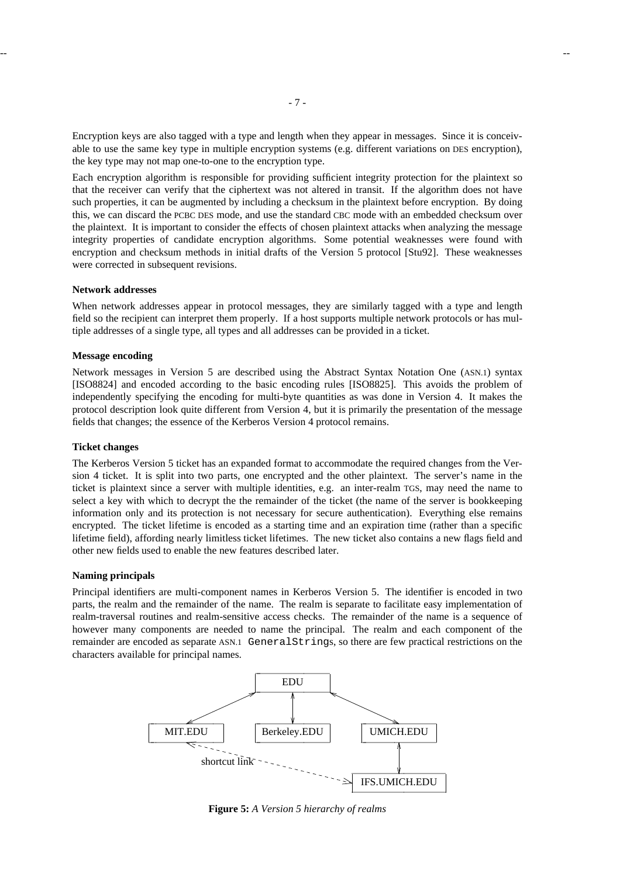Encryption keys are also tagged with a type and length when they appear in messages. Since it is conceivable to use the same key type in multiple encryption systems (e.g. different variations on DES encryption), the key type may not map one-to-one to the encryption type.

Each encryption algorithm is responsible for providing sufficient integrity protection for the plaintext so that the receiver can verify that the ciphertext was not altered in transit. If the algorithm does not have such properties, it can be augmented by including a checksum in the plaintext before encryption. By doing this, we can discard the PCBC DES mode, and use the standard CBC mode with an embedded checksum over the plaintext. It is important to consider the effects of chosen plaintext attacks when analyzing the message integrity properties of candidate encryption algorithms. Some potential weaknesses were found with encryption and checksum methods in initial drafts of the Version 5 protocol [Stu92]. These weaknesses were corrected in subsequent revisions.

# **Network addresses**

When network addresses appear in protocol messages, they are similarly tagged with a type and length field so the recipient can interpret them properly. If a host supports multiple network protocols or has multiple addresses of a single type, all types and all addresses can be provided in a ticket.

#### **Message encoding**

Network messages in Version 5 are described using the Abstract Syntax Notation One (ASN.1) syntax [ISO8824] and encoded according to the basic encoding rules [ISO8825]. This avoids the problem of independently specifying the encoding for multi-byte quantities as was done in Version 4. It makes the protocol description look quite different from Version 4, but it is primarily the presentation of the message fields that changes; the essence of the Kerberos Version 4 protocol remains.

#### **Ticket changes**

The Kerberos Version 5 ticket has an expanded format to accommodate the required changes from the Version 4 ticket. It is split into two parts, one encrypted and the other plaintext. The server's name in the ticket is plaintext since a server with multiple identities, e.g. an inter-realm TGS, may need the name to select a key with which to decrypt the the remainder of the ticket (the name of the server is bookkeeping information only and its protection is not necessary for secure authentication). Everything else remains encrypted. The ticket lifetime is encoded as a starting time and an expiration time (rather than a specific lifetime field), affording nearly limitless ticket lifetimes. The new ticket also contains a new flags field and other new fields used to enable the new features described later.

#### **Naming principals**

Principal identifiers are multi-component names in Kerberos Version 5. The identifier is encoded in two parts, the realm and the remainder of the name. The realm is separate to facilitate easy implementation of realm-traversal routines and realm-sensitive access checks. The remainder of the name is a sequence of however many components are needed to name the principal. The realm and each component of the remainder are encoded as separate ASN.1 GeneralStrings, so there are few practical restrictions on the characters available for principal names.



**Figure 5:** *A Version 5 hierarchy of realms*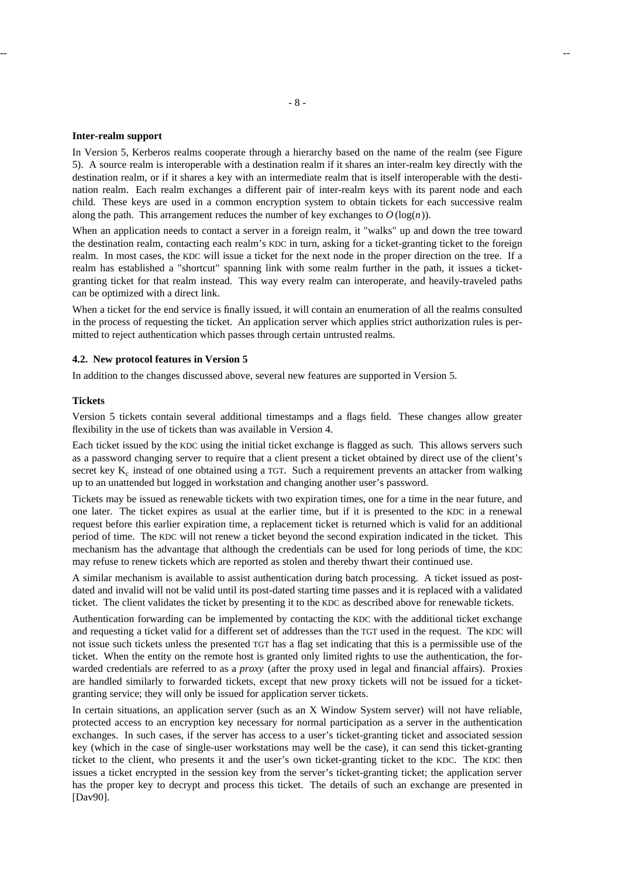#### **Inter-realm support**

In Version 5, Kerberos realms cooperate through a hierarchy based on the name of the realm (see Figure 5). A source realm is interoperable with a destination realm if it shares an inter-realm key directly with the destination realm, or if it shares a key with an intermediate realm that is itself interoperable with the destination realm. Each realm exchanges a different pair of inter-realm keys with its parent node and each child. These keys are used in a common encryption system to obtain tickets for each successive realm along the path. This arrangement reduces the number of key exchanges to  $O(\log(n))$ .

When an application needs to contact a server in a foreign realm, it "walks" up and down the tree toward the destination realm, contacting each realm's KDC in turn, asking for a ticket-granting ticket to the foreign realm. In most cases, the KDC will issue a ticket for the next node in the proper direction on the tree. If a realm has established a "shortcut" spanning link with some realm further in the path, it issues a ticketgranting ticket for that realm instead. This way every realm can interoperate, and heavily-traveled paths can be optimized with a direct link.

When a ticket for the end service is finally issued, it will contain an enumeration of all the realms consulted in the process of requesting the ticket. An application server which applies strict authorization rules is permitted to reject authentication which passes through certain untrusted realms.

### **4.2. New protocol features in Version 5**

In addition to the changes discussed above, several new features are supported in Version 5.

### **Tickets**

Version 5 tickets contain several additional timestamps and a flags field. These changes allow greater flexibility in the use of tickets than was available in Version 4.

Each ticket issued by the KDC using the initial ticket exchange is flagged as such. This allows servers such as a password changing server to require that a client present a ticket obtained by direct use of the client's secret key  $K_c$  instead of one obtained using a TGT. Such a requirement prevents an attacker from walking up to an unattended but logged in workstation and changing another user's password.

Tickets may be issued as renewable tickets with two expiration times, one for a time in the near future, and one later. The ticket expires as usual at the earlier time, but if it is presented to the KDC in a renewal request before this earlier expiration time, a replacement ticket is returned which is valid for an additional period of time. The KDC will not renew a ticket beyond the second expiration indicated in the ticket. This mechanism has the advantage that although the credentials can be used for long periods of time, the KDC may refuse to renew tickets which are reported as stolen and thereby thwart their continued use.

A similar mechanism is available to assist authentication during batch processing. A ticket issued as postdated and invalid will not be valid until its post-dated starting time passes and it is replaced with a validated ticket. The client validates the ticket by presenting it to the KDC as described above for renewable tickets.

Authentication forwarding can be implemented by contacting the KDC with the additional ticket exchange and requesting a ticket valid for a different set of addresses than the TGT used in the request. The KDC will not issue such tickets unless the presented TGT has a flag set indicating that this is a permissible use of the ticket. When the entity on the remote host is granted only limited rights to use the authentication, the forwarded credentials are referred to as a *proxy* (after the proxy used in legal and financial affairs). Proxies are handled similarly to forwarded tickets, except that new proxy tickets will not be issued for a ticketgranting service; they will only be issued for application server tickets.

In certain situations, an application server (such as an X Window System server) will not have reliable, protected access to an encryption key necessary for normal participation as a server in the authentication exchanges. In such cases, if the server has access to a user's ticket-granting ticket and associated session key (which in the case of single-user workstations may well be the case), it can send this ticket-granting ticket to the client, who presents it and the user's own ticket-granting ticket to the KDC. The KDC then issues a ticket encrypted in the session key from the server's ticket-granting ticket; the application server has the proper key to decrypt and process this ticket. The details of such an exchange are presented in [Dav90].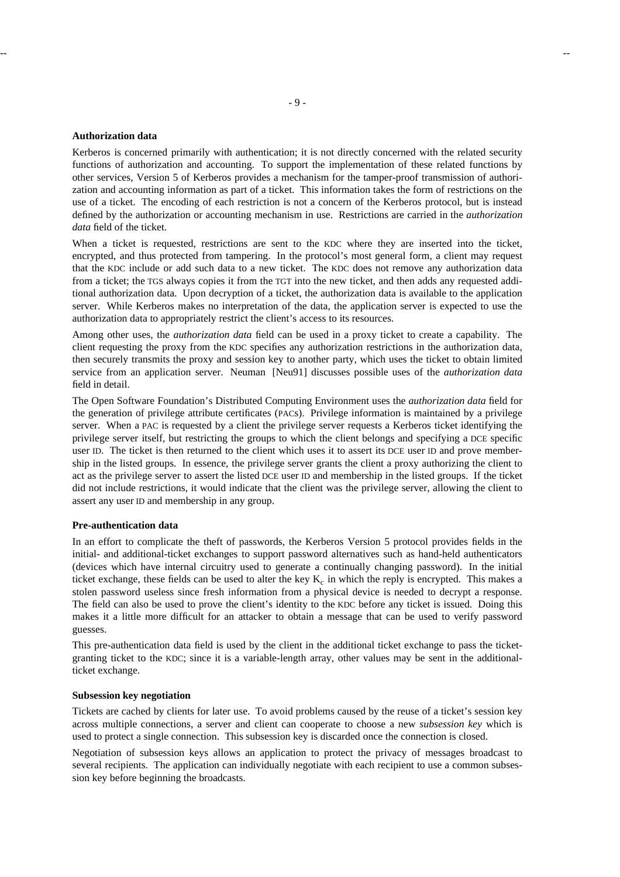#### -- --

### **Authorization data**

Kerberos is concerned primarily with authentication; it is not directly concerned with the related security functions of authorization and accounting. To support the implementation of these related functions by other services, Version 5 of Kerberos provides a mechanism for the tamper-proof transmission of authorization and accounting information as part of a ticket. This information takes the form of restrictions on the use of a ticket. The encoding of each restriction is not a concern of the Kerberos protocol, but is instead defined by the authorization or accounting mechanism in use. Restrictions are carried in the *authorization data* field of the ticket.

When a ticket is requested, restrictions are sent to the KDC where they are inserted into the ticket, encrypted, and thus protected from tampering. In the protocol's most general form, a client may request that the KDC include or add such data to a new ticket. The KDC does not remove any authorization data from a ticket; the TGS always copies it from the TGT into the new ticket, and then adds any requested additional authorization data. Upon decryption of a ticket, the authorization data is available to the application server. While Kerberos makes no interpretation of the data, the application server is expected to use the authorization data to appropriately restrict the client's access to its resources.

Among other uses, the *authorization data* field can be used in a proxy ticket to create a capability. The client requesting the proxy from the KDC specifies any authorization restrictions in the authorization data, then securely transmits the proxy and session key to another party, which uses the ticket to obtain limited service from an application server. Neuman [Neu91] discusses possible uses of the *authorization data* field in detail.

The Open Software Foundation's Distributed Computing Environment uses the *authorization data* field for the generation of privilege attribute certificates (PACs). Privilege information is maintained by a privilege server. When a PAC is requested by a client the privilege server requests a Kerberos ticket identifying the privilege server itself, but restricting the groups to which the client belongs and specifying a DCE specific user ID. The ticket is then returned to the client which uses it to assert its DCE user ID and prove membership in the listed groups. In essence, the privilege server grants the client a proxy authorizing the client to act as the privilege server to assert the listed DCE user ID and membership in the listed groups. If the ticket did not include restrictions, it would indicate that the client was the privilege server, allowing the client to assert any user ID and membership in any group.

#### **Pre-authentication data**

In an effort to complicate the theft of passwords, the Kerberos Version 5 protocol provides fields in the initial- and additional-ticket exchanges to support password alternatives such as hand-held authenticators (devices which have internal circuitry used to generate a continually changing password). In the initial ticket exchange, these fields can be used to alter the key  $K_c$  in which the reply is encrypted. This makes a stolen password useless since fresh information from a physical device is needed to decrypt a response. The field can also be used to prove the client's identity to the KDC before any ticket is issued. Doing this makes it a little more difficult for an attacker to obtain a message that can be used to verify password guesses.

This pre-authentication data field is used by the client in the additional ticket exchange to pass the ticketgranting ticket to the KDC; since it is a variable-length array, other values may be sent in the additionalticket exchange.

#### **Subsession key negotiation**

Tickets are cached by clients for later use. To avoid problems caused by the reuse of a ticket's session key across multiple connections, a server and client can cooperate to choose a new *subsession key* which is used to protect a single connection. This subsession key is discarded once the connection is closed.

Negotiation of subsession keys allows an application to protect the privacy of messages broadcast to several recipients. The application can individually negotiate with each recipient to use a common subsession key before beginning the broadcasts.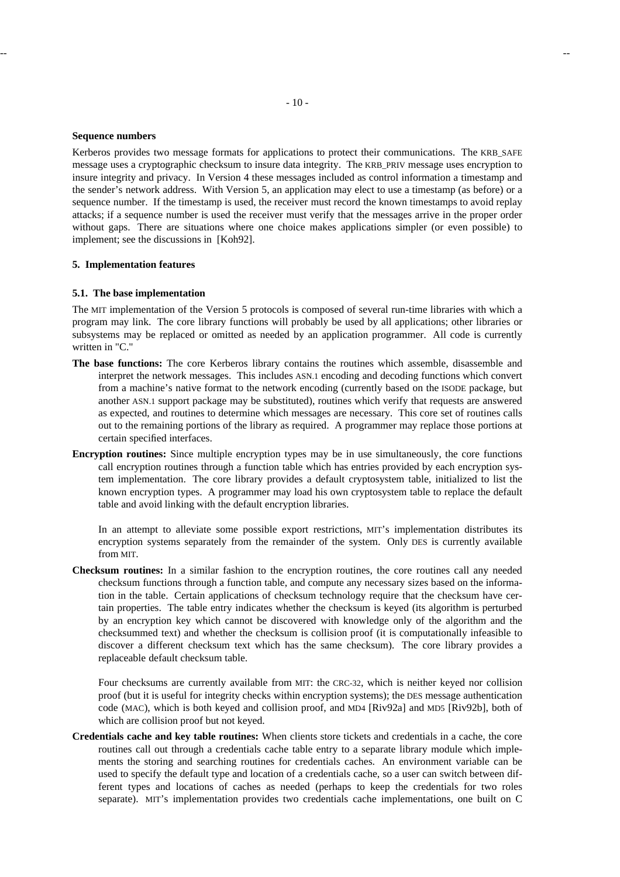### **Sequence numbers**

Kerberos provides two message formats for applications to protect their communications. The KRB\_SAFE message uses a cryptographic checksum to insure data integrity. The KRB\_PRIV message uses encryption to insure integrity and privacy. In Version 4 these messages included as control information a timestamp and the sender's network address. With Version 5, an application may elect to use a timestamp (as before) or a sequence number. If the timestamp is used, the receiver must record the known timestamps to avoid replay attacks; if a sequence number is used the receiver must verify that the messages arrive in the proper order without gaps. There are situations where one choice makes applications simpler (or even possible) to implement; see the discussions in [Koh92].

### **5. Implementation features**

# **5.1. The base implementation**

The MIT implementation of the Version 5 protocols is composed of several run-time libraries with which a program may link. The core library functions will probably be used by all applications; other libraries or subsystems may be replaced or omitted as needed by an application programmer. All code is currently written in "C."

- **The base functions:** The core Kerberos library contains the routines which assemble, disassemble and interpret the network messages. This includes ASN.1 encoding and decoding functions which convert from a machine's native format to the network encoding (currently based on the ISODE package, but another ASN.1 support package may be substituted), routines which verify that requests are answered as expected, and routines to determine which messages are necessary. This core set of routines calls out to the remaining portions of the library as required. A programmer may replace those portions at certain specified interfaces.
- **Encryption routines:** Since multiple encryption types may be in use simultaneously, the core functions call encryption routines through a function table which has entries provided by each encryption system implementation. The core library provides a default cryptosystem table, initialized to list the known encryption types. A programmer may load his own cryptosystem table to replace the default table and avoid linking with the default encryption libraries.

In an attempt to alleviate some possible export restrictions, MIT's implementation distributes its encryption systems separately from the remainder of the system. Only DES is currently available from MIT.

**Checksum routines:** In a similar fashion to the encryption routines, the core routines call any needed checksum functions through a function table, and compute any necessary sizes based on the information in the table. Certain applications of checksum technology require that the checksum have certain properties. The table entry indicates whether the checksum is keyed (its algorithm is perturbed by an encryption key which cannot be discovered with knowledge only of the algorithm and the checksummed text) and whether the checksum is collision proof (it is computationally infeasible to discover a different checksum text which has the same checksum). The core library provides a replaceable default checksum table.

Four checksums are currently available from MIT: the CRC-32, which is neither keyed nor collision proof (but it is useful for integrity checks within encryption systems); the DES message authentication code (MAC), which is both keyed and collision proof, and MD4 [Riv92a] and MD5 [Riv92b], both of which are collision proof but not keyed.

**Credentials cache and key table routines:** When clients store tickets and credentials in a cache, the core routines call out through a credentials cache table entry to a separate library module which implements the storing and searching routines for credentials caches. An environment variable can be used to specify the default type and location of a credentials cache, so a user can switch between different types and locations of caches as needed (perhaps to keep the credentials for two roles separate). MIT's implementation provides two credentials cache implementations, one built on C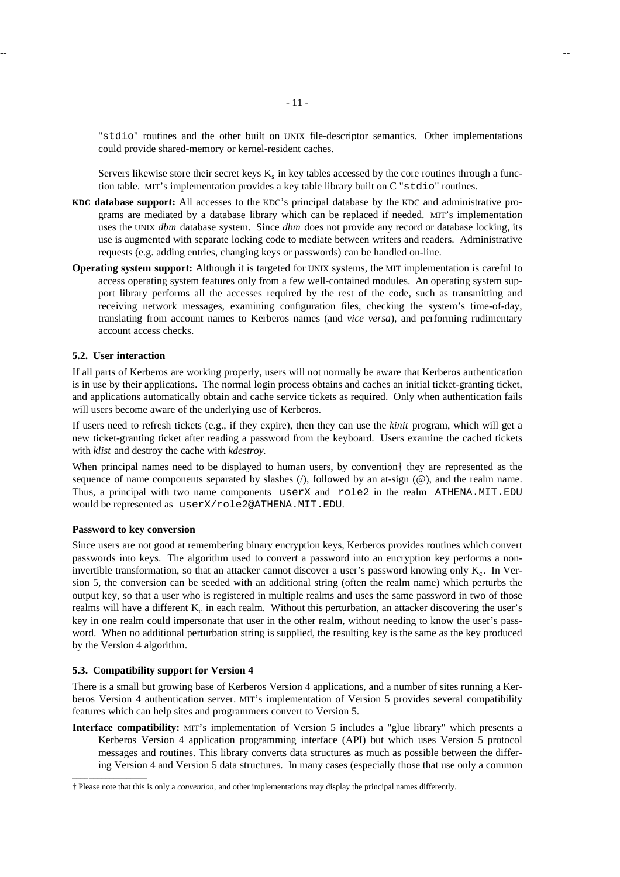"stdio" routines and the other built on UNIX file-descriptor semantics. Other implementations could provide shared-memory or kernel-resident caches.

Servers likewise store their secret keys  $K_s$  in key tables accessed by the core routines through a function table. MIT's implementation provides a key table library built on C "stdio" routines.

- **KDC database support:** All accesses to the KDC's principal database by the KDC and administrative programs are mediated by a database library which can be replaced if needed. MIT's implementation uses the UNIX *dbm* database system. Since *dbm* does not provide any record or database locking, its use is augmented with separate locking code to mediate between writers and readers. Administrative requests (e.g. adding entries, changing keys or passwords) can be handled on-line.
- **Operating system support:** Although it is targeted for UNIX systems, the MIT implementation is careful to access operating system features only from a few well-contained modules. An operating system support library performs all the accesses required by the rest of the code, such as transmitting and receiving network messages, examining configuration files, checking the system's time-of-day, translating from account names to Kerberos names (and *vice versa*), and performing rudimentary account access checks.

### **5.2. User interaction**

If all parts of Kerberos are working properly, users will not normally be aware that Kerberos authentication is in use by their applications. The normal login process obtains and caches an initial ticket-granting ticket, and applications automatically obtain and cache service tickets as required. Only when authentication fails will users become aware of the underlying use of Kerberos.

If users need to refresh tickets (e.g., if they expire), then they can use the *kinit* program, which will get a new ticket-granting ticket after reading a password from the keyboard. Users examine the cached tickets with *klist* and destroy the cache with *kdestroy.*

When principal names need to be displayed to human users, by convention† they are represented as the sequence of name components separated by slashes  $($ ), followed by an at-sign  $($  $)$ , and the realm name. Thus, a principal with two name components userX and role2 in the realm ATHENA.MIT.EDU would be represented as userX/role2@ATHENA.MIT.EDU.

### **Password to key conversion**

hhhhhhhhhhhhhhhhhh

Since users are not good at remembering binary encryption keys, Kerberos provides routines which convert passwords into keys. The algorithm used to convert a password into an encryption key performs a noninvertible transformation, so that an attacker cannot discover a user's password knowing only  $K_c$ . In Version 5, the conversion can be seeded with an additional string (often the realm name) which perturbs the output key, so that a user who is registered in multiple realms and uses the same password in two of those realms will have a different  $K_c$  in each realm. Without this perturbation, an attacker discovering the user's key in one realm could impersonate that user in the other realm, without needing to know the user's password. When no additional perturbation string is supplied, the resulting key is the same as the key produced by the Version 4 algorithm.

#### **5.3. Compatibility support for Version 4**

There is a small but growing base of Kerberos Version 4 applications, and a number of sites running a Kerberos Version 4 authentication server. MIT's implementation of Version 5 provides several compatibility features which can help sites and programmers convert to Version 5.

**Interface compatibility:** MIT's implementation of Version 5 includes a "glue library" which presents a Kerberos Version 4 application programming interface (API) but which uses Version 5 protocol messages and routines. This library converts data structures as much as possible between the differing Version 4 and Version 5 data structures. In many cases (especially those that use only a common

<sup>†</sup> Please note that this is only a *convention,* and other implementations may display the principal names differently.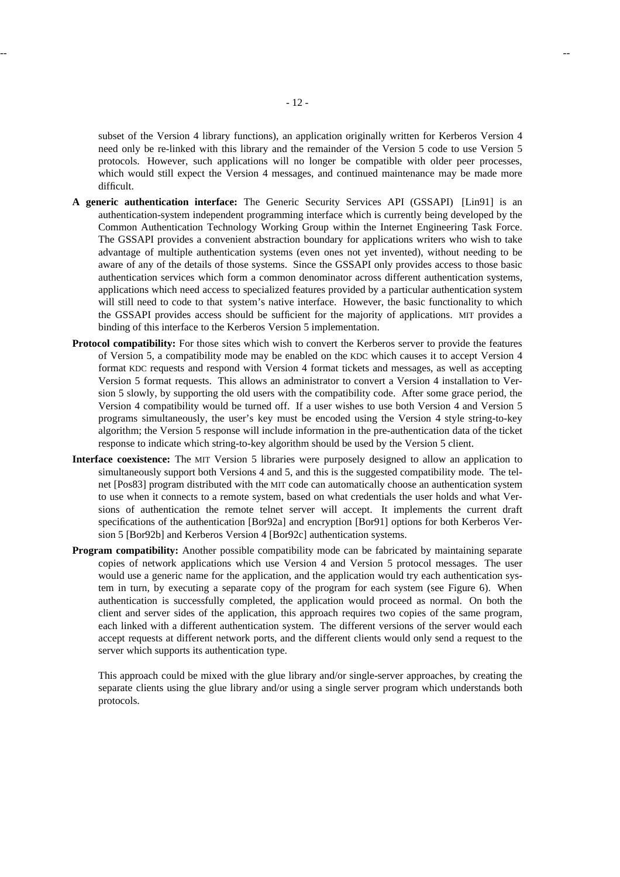subset of the Version 4 library functions), an application originally written for Kerberos Version 4 need only be re-linked with this library and the remainder of the Version 5 code to use Version 5 protocols. However, such applications will no longer be compatible with older peer processes, which would still expect the Version 4 messages, and continued maintenance may be made more difficult.

- **A generic authentication interface:** The Generic Security Services API (GSSAPI) [Lin91] is an authentication-system independent programming interface which is currently being developed by the Common Authentication Technology Working Group within the Internet Engineering Task Force. The GSSAPI provides a convenient abstraction boundary for applications writers who wish to take advantage of multiple authentication systems (even ones not yet invented), without needing to be aware of any of the details of those systems. Since the GSSAPI only provides access to those basic authentication services which form a common denominator across different authentication systems, applications which need access to specialized features provided by a particular authentication system will still need to code to that system's native interface. However, the basic functionality to which the GSSAPI provides access should be sufficient for the majority of applications. MIT provides a binding of this interface to the Kerberos Version 5 implementation.
- **Protocol compatibility:** For those sites which wish to convert the Kerberos server to provide the features of Version 5, a compatibility mode may be enabled on the KDC which causes it to accept Version 4 format KDC requests and respond with Version 4 format tickets and messages, as well as accepting Version 5 format requests. This allows an administrator to convert a Version 4 installation to Version 5 slowly, by supporting the old users with the compatibility code. After some grace period, the Version 4 compatibility would be turned off. If a user wishes to use both Version 4 and Version 5 programs simultaneously, the user's key must be encoded using the Version 4 style string-to-key algorithm; the Version 5 response will include information in the pre-authentication data of the ticket response to indicate which string-to-key algorithm should be used by the Version 5 client.
- **Interface coexistence:** The MIT Version 5 libraries were purposely designed to allow an application to simultaneously support both Versions 4 and 5, and this is the suggested compatibility mode. The telnet [Pos83] program distributed with the MIT code can automatically choose an authentication system to use when it connects to a remote system, based on what credentials the user holds and what Versions of authentication the remote telnet server will accept. It implements the current draft specifications of the authentication [Bor92a] and encryption [Bor91] options for both Kerberos Version 5 [Bor92b] and Kerberos Version 4 [Bor92c] authentication systems.
- **Program compatibility:** Another possible compatibility mode can be fabricated by maintaining separate copies of network applications which use Version 4 and Version 5 protocol messages. The user would use a generic name for the application, and the application would try each authentication system in turn, by executing a separate copy of the program for each system (see Figure 6). When authentication is successfully completed, the application would proceed as normal. On both the client and server sides of the application, this approach requires two copies of the same program, each linked with a different authentication system. The different versions of the server would each accept requests at different network ports, and the different clients would only send a request to the server which supports its authentication type.

This approach could be mixed with the glue library and/or single-server approaches, by creating the separate clients using the glue library and/or using a single server program which understands both protocols.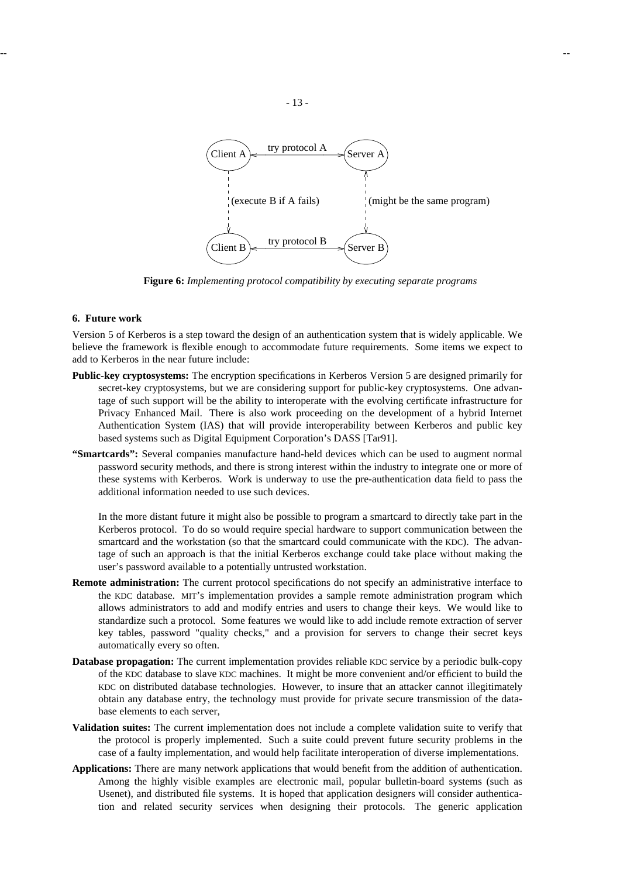

**Figure 6:** *Implementing protocol compatibility by executing separate programs*

### **6. Future work**

Version 5 of Kerberos is a step toward the design of an authentication system that is widely applicable. We believe the framework is flexible enough to accommodate future requirements. Some items we expect to add to Kerberos in the near future include:

- **Public-key cryptosystems:** The encryption specifications in Kerberos Version 5 are designed primarily for secret-key cryptosystems, but we are considering support for public-key cryptosystems. One advantage of such support will be the ability to interoperate with the evolving certificate infrastructure for Privacy Enhanced Mail. There is also work proceeding on the development of a hybrid Internet Authentication System (IAS) that will provide interoperability between Kerberos and public key based systems such as Digital Equipment Corporation's DASS [Tar91].
- **"Smartcards":** Several companies manufacture hand-held devices which can be used to augment normal password security methods, and there is strong interest within the industry to integrate one or more of these systems with Kerberos. Work is underway to use the pre-authentication data field to pass the additional information needed to use such devices.

In the more distant future it might also be possible to program a smartcard to directly take part in the Kerberos protocol. To do so would require special hardware to support communication between the smartcard and the workstation (so that the smartcard could communicate with the KDC). The advantage of such an approach is that the initial Kerberos exchange could take place without making the user's password available to a potentially untrusted workstation.

- **Remote administration:** The current protocol specifications do not specify an administrative interface to the KDC database. MIT's implementation provides a sample remote administration program which allows administrators to add and modify entries and users to change their keys. We would like to standardize such a protocol. Some features we would like to add include remote extraction of server key tables, password "quality checks," and a provision for servers to change their secret keys automatically every so often.
- **Database propagation:** The current implementation provides reliable KDC service by a periodic bulk-copy of the KDC database to slave KDC machines. It might be more convenient and/or efficient to build the KDC on distributed database technologies. However, to insure that an attacker cannot illegitimately obtain any database entry, the technology must provide for private secure transmission of the database elements to each server,
- **Validation suites:** The current implementation does not include a complete validation suite to verify that the protocol is properly implemented. Such a suite could prevent future security problems in the case of a faulty implementation, and would help facilitate interoperation of diverse implementations.
- **Applications:** There are many network applications that would benefit from the addition of authentication. Among the highly visible examples are electronic mail, popular bulletin-board systems (such as Usenet), and distributed file systems. It is hoped that application designers will consider authentication and related security services when designing their protocols. The generic application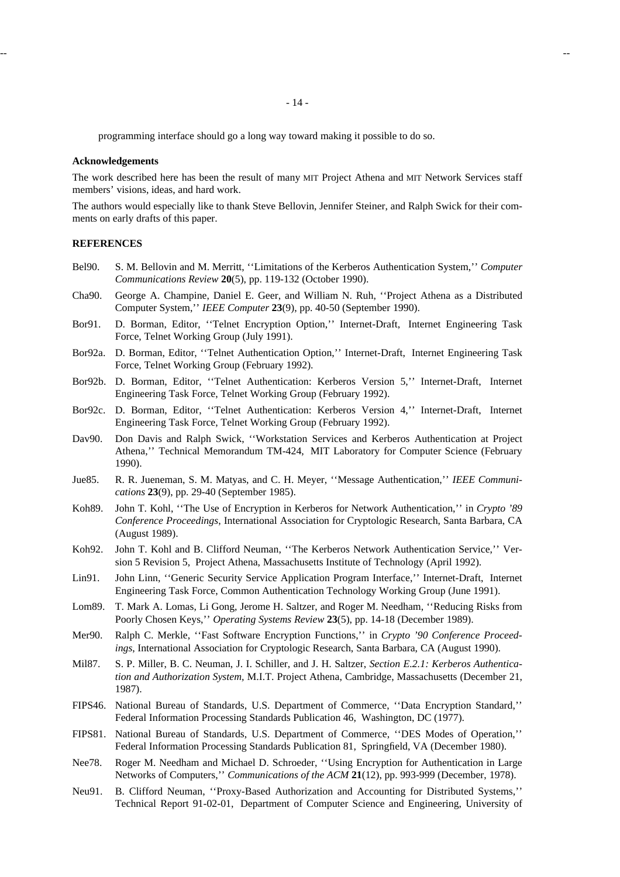programming interface should go a long way toward making it possible to do so.

### **Acknowledgements**

The work described here has been the result of many MIT Project Athena and MIT Network Services staff members' visions, ideas, and hard work.

The authors would especially like to thank Steve Bellovin, Jennifer Steiner, and Ralph Swick for their comments on early drafts of this paper.

### **REFERENCES**

- Bel90. S. M. Bellovin and M. Merritt, ''Limitations of the Kerberos Authentication System,'' *Computer Communications Review* **20**(5), pp. 119-132 (October 1990).
- Cha90. George A. Champine, Daniel E. Geer, and William N. Ruh, ''Project Athena as a Distributed Computer System,'' *IEEE Computer* **23**(9), pp. 40-50 (September 1990).
- Bor91. D. Borman, Editor, ''Telnet Encryption Option,'' Internet-Draft, Internet Engineering Task Force, Telnet Working Group (July 1991).
- Bor92a. D. Borman, Editor, ''Telnet Authentication Option,'' Internet-Draft, Internet Engineering Task Force, Telnet Working Group (February 1992).
- Bor92b. D. Borman, Editor, ''Telnet Authentication: Kerberos Version 5,'' Internet-Draft, Internet Engineering Task Force, Telnet Working Group (February 1992).
- Bor92c. D. Borman, Editor, ''Telnet Authentication: Kerberos Version 4,'' Internet-Draft, Internet Engineering Task Force, Telnet Working Group (February 1992).
- Dav90. Don Davis and Ralph Swick, ''Workstation Services and Kerberos Authentication at Project Athena,'' Technical Memorandum TM-424, MIT Laboratory for Computer Science (February 1990).
- Jue85. R. R. Jueneman, S. M. Matyas, and C. H. Meyer, ''Message Authentication,'' *IEEE Communications* **23**(9), pp. 29-40 (September 1985).
- Koh89. John T. Kohl, ''The Use of Encryption in Kerberos for Network Authentication,'' in *Crypto '89 Conference Proceedings*, International Association for Cryptologic Research, Santa Barbara, CA (August 1989).
- Koh92. John T. Kohl and B. Clifford Neuman, ''The Kerberos Network Authentication Service,'' Version 5 Revision 5, Project Athena, Massachusetts Institute of Technology (April 1992).
- Lin91. John Linn, ''Generic Security Service Application Program Interface,'' Internet-Draft, Internet Engineering Task Force, Common Authentication Technology Working Group (June 1991).
- Lom89. T. Mark A. Lomas, Li Gong, Jerome H. Saltzer, and Roger M. Needham, ''Reducing Risks from Poorly Chosen Keys,'' *Operating Systems Review* **23**(5), pp. 14-18 (December 1989).
- Mer90. Ralph C. Merkle, ''Fast Software Encryption Functions,'' in *Crypto '90 Conference Proceedings*, International Association for Cryptologic Research, Santa Barbara, CA (August 1990).
- Mil87. S. P. Miller, B. C. Neuman, J. I. Schiller, and J. H. Saltzer, *Section E.2.1: Kerberos Authentication and Authorization System,* M.I.T. Project Athena, Cambridge, Massachusetts (December 21, 1987).
- FIPS46. National Bureau of Standards, U.S. Department of Commerce, ''Data Encryption Standard,'' Federal Information Processing Standards Publication 46, Washington, DC (1977).
- FIPS81. National Bureau of Standards, U.S. Department of Commerce, ''DES Modes of Operation,'' Federal Information Processing Standards Publication 81, Springfield, VA (December 1980).
- Nee78. Roger M. Needham and Michael D. Schroeder, ''Using Encryption for Authentication in Large Networks of Computers,'' *Communications of the ACM* **21**(12), pp. 993-999 (December, 1978).
- Neu91. B. Clifford Neuman, ''Proxy-Based Authorization and Accounting for Distributed Systems,'' Technical Report 91-02-01, Department of Computer Science and Engineering, University of